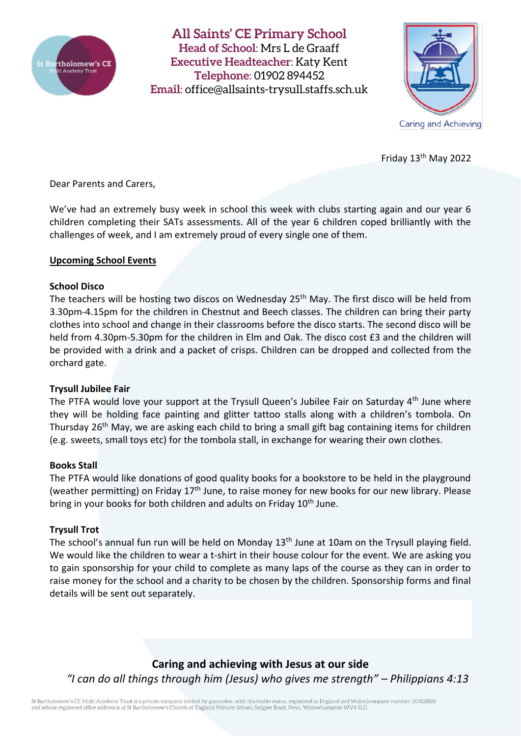

**All Saints' CE Primary School Head of School**: Mrs L de Graaff **Executive Headteacher**: Katy Kent **Telephone**: 01902 894452 **Email**: [office@allsaints-trysull.staffs.sch.uk](mailto:office@allsaints-trysull.staffs.sch.uk)



Friday 13th May 2022

Dear Parents and Carers,

We've had an extremely busy week in school this week with clubs starting again and our year 6 children completing their SATs assessments. All of the year 6 children coped brilliantly with the challenges of week, and I am extremely proud of every single one of them.

## **Upcoming School Events**

### **School Disco**

The teachers will be hosting two discos on Wednesday 25<sup>th</sup> May. The first disco will be held from 3.30pm-4.15pm for the children in Chestnut and Beech classes. The children can bring their party clothes into school and change in their classrooms before the disco starts. The second disco will be held from 4.30pm-5.30pm for the children in Elm and Oak. The disco cost £3 and the children will be provided with a drink and a packet of crisps. Children can be dropped and collected from the orchard gate.

### **Trysull Jubilee Fair**

The PTFA would love your support at the Trysull Queen's Jubilee Fair on Saturday 4<sup>th</sup> June where they will be holding face painting and glitter tattoo stalls along with a children's tombola. On Thursday 26<sup>th</sup> May, we are asking each child to bring a small gift bag containing items for children (e.g. sweets, small toys etc) for the tombola stall, in exchange for wearing their own clothes.

### **Books Stall**

The PTFA would like donations of good quality books for a bookstore to be held in the playground (weather permitting) on Friday 17<sup>th</sup> June, to raise money for new books for our new library. Please bring in your books for both children and adults on Friday 10<sup>th</sup> June.

### **Trysull Trot**

The school's annual fun run will be held on Monday 13<sup>th</sup> June at 10am on the Trysull playing field. We would like the children to wear a t-shirt in their house colour for the event. We are asking you to gain sponsorship for your child to complete as many laps of the course as they can in order to raise money for the school and a charity to be chosen by the children. Sponsorship forms and final details will be sent out separately.

**Caring and achieving with Jesus at our side** *"I can do all things through him (Jesus) who gives me strength" – Philippians 4:13*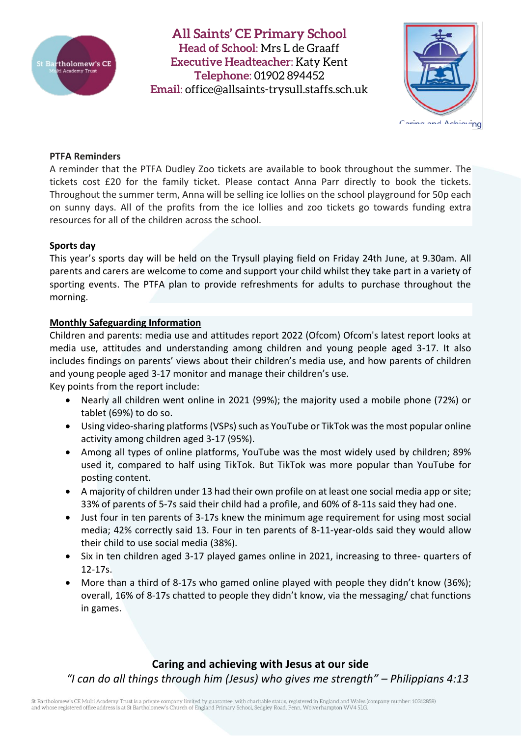

**All Saints' CE Primary School Head of School**: Mrs L de Graaff **Executive Headteacher**: Katy Kent **Telephone**: 01902 894452 **Email**: [office@allsaints-trysull.staffs.sch.uk](mailto:office@allsaints-trysull.staffs.sch.uk)



**PTFA Reminders**

A reminder that the PTFA Dudley Zoo tickets are available to book throughout the summer. The tickets cost £20 for the family ticket. Please contact Anna Parr directly to book the tickets. Throughout the summer term, Anna will be selling ice lollies on the school playground for 50p each on sunny days. All of the profits from the ice lollies and zoo tickets go towards funding extra resources for all of the children across the school.

## **Sports day**

This year's sports day will be held on the Trysull playing field on Friday 24th June, at 9.30am. All parents and carers are welcome to come and support your child whilst they take part in a variety of sporting events. The PTFA plan to provide refreshments for adults to purchase throughout the morning.

# **Monthly Safeguarding Information**

Children and parents: media use and attitudes report 2022 (Ofcom) Ofcom's latest report looks at media use, attitudes and understanding among children and young people aged 3-17. It also includes findings on parents' views about their children's media use, and how parents of children and young people aged 3-17 monitor and manage their children's use.

Key points from the report include:

- Nearly all children went online in 2021 (99%); the majority used a mobile phone (72%) or tablet (69%) to do so.
- Using video-sharing platforms (VSPs) such as YouTube or TikTok was the most popular online activity among children aged 3-17 (95%).
- Among all types of online platforms, YouTube was the most widely used by children; 89% used it, compared to half using TikTok. But TikTok was more popular than YouTube for posting content.
- A majority of children under 13 had their own profile on at least one social media app or site; 33% of parents of 5-7s said their child had a profile, and 60% of 8-11s said they had one.
- Just four in ten parents of 3-17s knew the minimum age requirement for using most social media; 42% correctly said 13. Four in ten parents of 8-11-year-olds said they would allow their child to use social media (38%).
- Six in ten children aged 3-17 played games online in 2021, increasing to three- quarters of 12-17s.
- More than a third of 8-17s who gamed online played with people they didn't know (36%); overall, 16% of 8-17s chatted to people they didn't know, via the messaging/ chat functions in games.

**Caring and achieving with Jesus at our side** *"I can do all things through him (Jesus) who gives me strength" – Philippians 4:13*